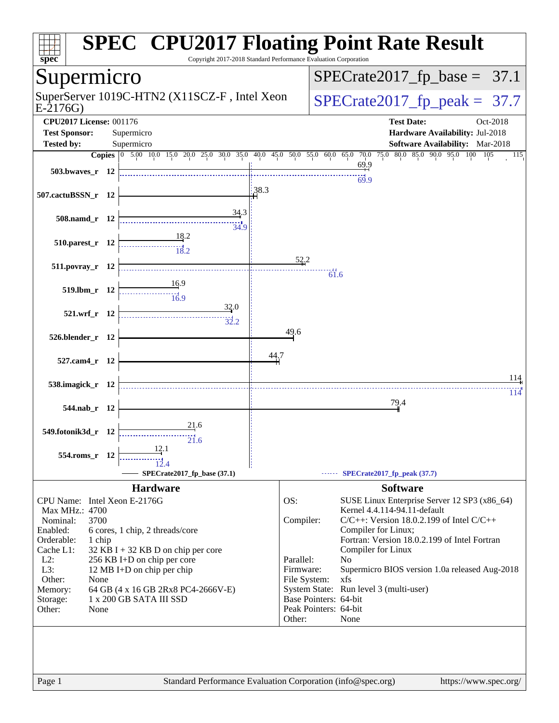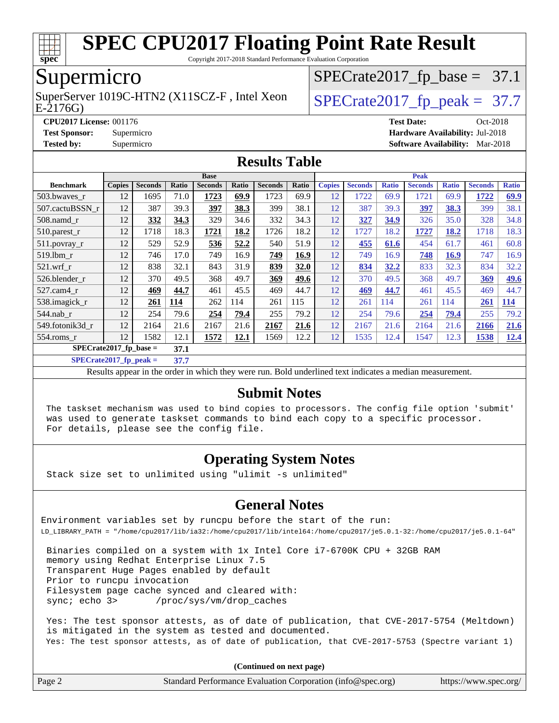

Copyright 2017-2018 Standard Performance Evaluation Corporation

### Supermicro

SuperServer 1019C-HTN2 (X11SCZ-F, Intel Xeon  $\big|$  [SPECrate2017\\_fp\\_peak =](http://www.spec.org/auto/cpu2017/Docs/result-fields.html#SPECrate2017fppeak) 37.7

 $SPECTate2017_fp\_base = 37.1$ 

#### E-2176G)

**[Tested by:](http://www.spec.org/auto/cpu2017/Docs/result-fields.html#Testedby)** Supermicro **[Software Availability:](http://www.spec.org/auto/cpu2017/Docs/result-fields.html#SoftwareAvailability)** Mar-2018

**[CPU2017 License:](http://www.spec.org/auto/cpu2017/Docs/result-fields.html#CPU2017License)** 001176 **[Test Date:](http://www.spec.org/auto/cpu2017/Docs/result-fields.html#TestDate)** Oct-2018 **[Test Sponsor:](http://www.spec.org/auto/cpu2017/Docs/result-fields.html#TestSponsor)** Supermicro **[Hardware Availability:](http://www.spec.org/auto/cpu2017/Docs/result-fields.html#HardwareAvailability)** Jul-2018

#### **[Results Table](http://www.spec.org/auto/cpu2017/Docs/result-fields.html#ResultsTable)**

|                                  | <b>Base</b>   |                |       |                | <b>Peak</b> |                |       |               |                |              |                |              |                |              |
|----------------------------------|---------------|----------------|-------|----------------|-------------|----------------|-------|---------------|----------------|--------------|----------------|--------------|----------------|--------------|
| <b>Benchmark</b>                 | <b>Copies</b> | <b>Seconds</b> | Ratio | <b>Seconds</b> | Ratio       | <b>Seconds</b> | Ratio | <b>Copies</b> | <b>Seconds</b> | <b>Ratio</b> | <b>Seconds</b> | <b>Ratio</b> | <b>Seconds</b> | <b>Ratio</b> |
| 503.bwayes_r                     | 12            | 1695           | 71.0  | 1723           | 69.9        | 1723           | 69.9  | 12            | 1722           | 69.9         | 1721           | 69.9         | 1722           | 69.9         |
| 507.cactuBSSN r                  | 12            | 387            | 39.3  | 397            | 38.3        | 399            | 38.1  | 12            | 387            | 39.3         | 397            | 38.3         | 399            | 38.1         |
| 508.namd_r                       | 12            | 332            | 34.3  | 329            | 34.6        | 332            | 34.3  | 12            | 327            | 34.9         | 326            | 35.0         | 328            | 34.8         |
| $510.parest_r$                   | 12            | 1718           | 18.3  | 1721           | 18.2        | 1726           | 18.2  | 12            | 1727           | 18.2         | 1727           | 18.2         | 1718           | 18.3         |
| 511.povray_r                     | 12            | 529            | 52.9  | 536            | 52.2        | 540            | 51.9  | 12            | 455            | 61.6         | 454            | 61.7         | 461            | 60.8         |
| 519.1bm r                        | 12            | 746            | 17.0  | 749            | 16.9        | 749            | 16.9  | 12            | 749            | 16.9         | 748            | 16.9         | 747            | 16.9         |
| $521$ .wrf r                     | 12            | 838            | 32.1  | 843            | 31.9        | 839            | 32.0  | 12            | 834            | 32.2         | 833            | 32.3         | 834            | 32.2         |
| 526.blender r                    | 12            | 370            | 49.5  | 368            | 49.7        | 369            | 49.6  | 12            | 370            | 49.5         | 368            | 49.7         | 369            | 49.6         |
| 527.cam4 r                       | 12            | 469            | 44.7  | 461            | 45.5        | 469            | 44.7  | 12            | 469            | 44.7         | 461            | 45.5         | 469            | 44.7         |
| 538.imagick_r                    | 12            | 261            | 114   | 262            | 114         | 261            | 115   | 12            | 261            | 114          | 261            | 114          | 261            | <u>114</u>   |
| $544$ .nab r                     | 12            | 254            | 79.6  | 254            | 79.4        | 255            | 79.2  | 12            | 254            | 79.6         | 254            | 79.4         | 255            | 79.2         |
| 549.fotonik3d r                  | 12            | 2164           | 21.6  | 2167           | 21.6        | 2167           | 21.6  | 12            | 2167           | 21.6         | 2164           | 21.6         | 2166           | 21.6         |
| $554$ .roms $r$                  | 12            | 1582           | 12.1  | 1572           | <u>12.1</u> | 1569           | 12.2  | 12            | 1535           | 12.4         | 1547           | 12.3         | 1538           | 12.4         |
| $SPECrate2017$ fp base =<br>37.1 |               |                |       |                |             |                |       |               |                |              |                |              |                |              |

**[SPECrate2017\\_fp\\_peak =](http://www.spec.org/auto/cpu2017/Docs/result-fields.html#SPECrate2017fppeak) 37.7**

Results appear in the [order in which they were run.](http://www.spec.org/auto/cpu2017/Docs/result-fields.html#RunOrder) Bold underlined text [indicates a median measurement.](http://www.spec.org/auto/cpu2017/Docs/result-fields.html#Median)

#### **[Submit Notes](http://www.spec.org/auto/cpu2017/Docs/result-fields.html#SubmitNotes)**

 The taskset mechanism was used to bind copies to processors. The config file option 'submit' was used to generate taskset commands to bind each copy to a specific processor. For details, please see the config file.

#### **[Operating System Notes](http://www.spec.org/auto/cpu2017/Docs/result-fields.html#OperatingSystemNotes)**

Stack size set to unlimited using "ulimit -s unlimited"

#### **[General Notes](http://www.spec.org/auto/cpu2017/Docs/result-fields.html#GeneralNotes)**

Environment variables set by runcpu before the start of the run: LD\_LIBRARY\_PATH = "/home/cpu2017/lib/ia32:/home/cpu2017/lib/intel64:/home/cpu2017/je5.0.1-32:/home/cpu2017/je5.0.1-64"

 Binaries compiled on a system with 1x Intel Core i7-6700K CPU + 32GB RAM memory using Redhat Enterprise Linux 7.5 Transparent Huge Pages enabled by default Prior to runcpu invocation Filesystem page cache synced and cleared with: sync; echo 3> /proc/sys/vm/drop\_caches

 Yes: The test sponsor attests, as of date of publication, that CVE-2017-5754 (Meltdown) is mitigated in the system as tested and documented. Yes: The test sponsor attests, as of date of publication, that CVE-2017-5753 (Spectre variant 1)

**(Continued on next page)**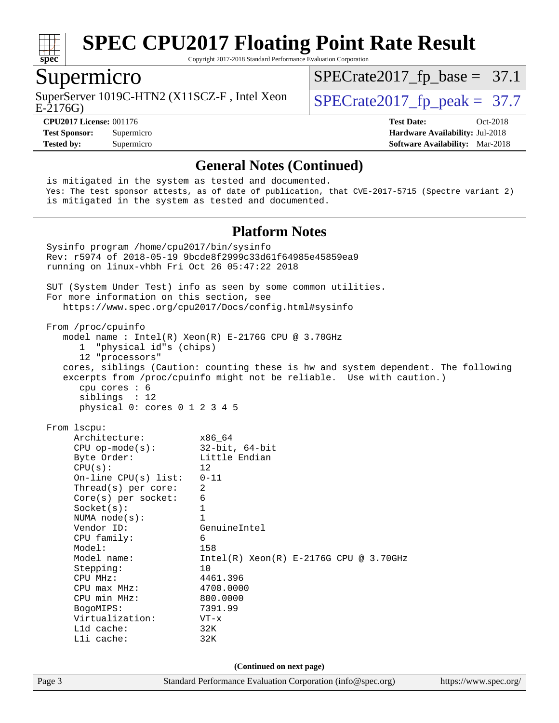

Copyright 2017-2018 Standard Performance Evaluation Corporation

#### Supermicro

SuperServer 1019C-HTN2 (X11SCZ-F, Intel Xeon  $\big|$  [SPECrate2017\\_fp\\_peak =](http://www.spec.org/auto/cpu2017/Docs/result-fields.html#SPECrate2017fppeak) 37.7

 $SPECTate2017_fp\_base = 37.1$ 

E-2176G)

**[CPU2017 License:](http://www.spec.org/auto/cpu2017/Docs/result-fields.html#CPU2017License)** 001176 **[Test Date:](http://www.spec.org/auto/cpu2017/Docs/result-fields.html#TestDate)** Oct-2018 **[Test Sponsor:](http://www.spec.org/auto/cpu2017/Docs/result-fields.html#TestSponsor)** Supermicro **[Hardware Availability:](http://www.spec.org/auto/cpu2017/Docs/result-fields.html#HardwareAvailability)** Jul-2018 **[Tested by:](http://www.spec.org/auto/cpu2017/Docs/result-fields.html#Testedby)** Supermicro **[Software Availability:](http://www.spec.org/auto/cpu2017/Docs/result-fields.html#SoftwareAvailability)** Mar-2018

#### **[General Notes \(Continued\)](http://www.spec.org/auto/cpu2017/Docs/result-fields.html#GeneralNotes)**

Page 3 Standard Performance Evaluation Corporation [\(info@spec.org\)](mailto:info@spec.org) <https://www.spec.org/> is mitigated in the system as tested and documented. Yes: The test sponsor attests, as of date of publication, that CVE-2017-5715 (Spectre variant 2) is mitigated in the system as tested and documented. **[Platform Notes](http://www.spec.org/auto/cpu2017/Docs/result-fields.html#PlatformNotes)** Sysinfo program /home/cpu2017/bin/sysinfo Rev: r5974 of 2018-05-19 9bcde8f2999c33d61f64985e45859ea9 running on linux-vhbh Fri Oct 26 05:47:22 2018 SUT (System Under Test) info as seen by some common utilities. For more information on this section, see <https://www.spec.org/cpu2017/Docs/config.html#sysinfo> From /proc/cpuinfo model name : Intel(R) Xeon(R) E-2176G CPU @ 3.70GHz 1 "physical id"s (chips) 12 "processors" cores, siblings (Caution: counting these is hw and system dependent. The following excerpts from /proc/cpuinfo might not be reliable. Use with caution.) cpu cores : 6 siblings : 12 physical 0: cores 0 1 2 3 4 5 From lscpu: Architecture: x86\_64 CPU op-mode(s): 32-bit, 64-bit Byte Order: Little Endian  $CPU(s):$  12 On-line CPU(s) list: 0-11 Thread(s) per core: 2 Core(s) per socket: 6 Socket(s): 1 NUMA node(s): 1<br>Vendor ID: Ge GenuineIntel CPU family: 6 Model: 158 Model name: Intel(R) Xeon(R) E-2176G CPU @ 3.70GHz Stepping: 10 CPU MHz: 4461.396 CPU max MHz: 4700.0000 CPU min MHz: 800.0000 BogoMIPS: 7391.99 Virtualization: VT-x L1d cache: 32K L1i cache: 32K **(Continued on next page)**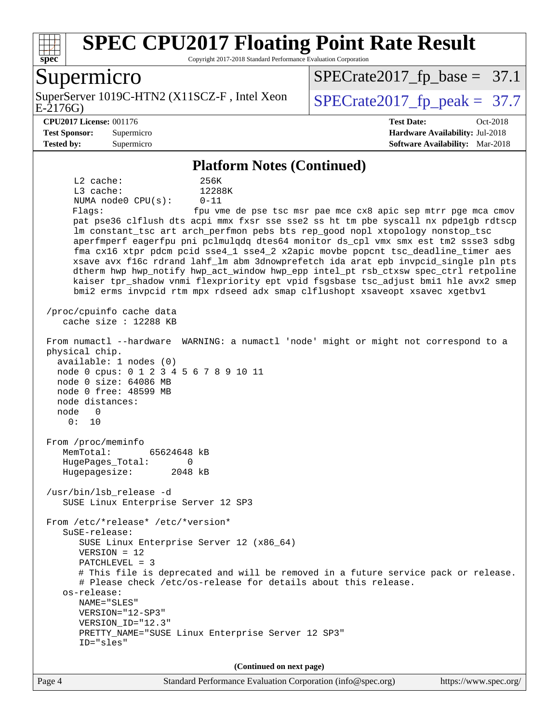

Copyright 2017-2018 Standard Performance Evaluation Corporation

#### Supermicro

E-2176G) SuperServer 1019C-HTN2 (X11SCZ-F, Intel Xeon  $\big|$  [SPECrate2017\\_fp\\_peak =](http://www.spec.org/auto/cpu2017/Docs/result-fields.html#SPECrate2017fppeak) 37.7

 $SPECTate2017<sub>fp</sub> base = 37.1$ 

**[Tested by:](http://www.spec.org/auto/cpu2017/Docs/result-fields.html#Testedby)** Supermicro **[Software Availability:](http://www.spec.org/auto/cpu2017/Docs/result-fields.html#SoftwareAvailability)** Mar-2018

**[CPU2017 License:](http://www.spec.org/auto/cpu2017/Docs/result-fields.html#CPU2017License)** 001176 **[Test Date:](http://www.spec.org/auto/cpu2017/Docs/result-fields.html#TestDate)** Oct-2018 **[Test Sponsor:](http://www.spec.org/auto/cpu2017/Docs/result-fields.html#TestSponsor)** Supermicro **[Hardware Availability:](http://www.spec.org/auto/cpu2017/Docs/result-fields.html#HardwareAvailability)** Jul-2018

#### **[Platform Notes \(Continued\)](http://www.spec.org/auto/cpu2017/Docs/result-fields.html#PlatformNotes)**

 L2 cache: 256K L3 cache: 12288K NUMA node0 CPU(s): 0-11 Flags: fpu vme de pse tsc msr pae mce cx8 apic sep mtrr pge mca cmov pat pse36 clflush dts acpi mmx fxsr sse sse2 ss ht tm pbe syscall nx pdpe1gb rdtscp lm constant tsc art arch perfmon pebs bts rep good nopl xtopology nonstop tsc aperfmperf eagerfpu pni pclmulqdq dtes64 monitor ds\_cpl vmx smx est tm2 ssse3 sdbg fma cx16 xtpr pdcm pcid sse4\_1 sse4\_2 x2apic movbe popcnt tsc\_deadline\_timer aes xsave avx f16c rdrand lahf\_lm abm 3dnowprefetch ida arat epb invpcid\_single pln pts dtherm hwp hwp\_notify hwp\_act\_window hwp\_epp intel\_pt rsb\_ctxsw spec\_ctrl retpoline kaiser tpr\_shadow vnmi flexpriority ept vpid fsgsbase tsc\_adjust bmi1 hle avx2 smep bmi2 erms invpcid rtm mpx rdseed adx smap clflushopt xsaveopt xsavec xgetbv1 /proc/cpuinfo cache data cache size : 12288 KB From numactl --hardware WARNING: a numactl 'node' might or might not correspond to a physical chip. available: 1 nodes (0) node 0 cpus: 0 1 2 3 4 5 6 7 8 9 10 11 node 0 size: 64086 MB node 0 free: 48599 MB node distances: node 0 0: 10 From /proc/meminfo MemTotal: 65624648 kB HugePages\_Total: 0 Hugepagesize: 2048 kB /usr/bin/lsb\_release -d SUSE Linux Enterprise Server 12 SP3 From /etc/\*release\* /etc/\*version\* SuSE-release: SUSE Linux Enterprise Server 12 (x86\_64) VERSION = 12 PATCHLEVEL = 3 # This file is deprecated and will be removed in a future service pack or release. # Please check /etc/os-release for details about this release. os-release: NAME="SLES" VERSION="12-SP3" VERSION\_ID="12.3" PRETTY\_NAME="SUSE Linux Enterprise Server 12 SP3" ID="sles" **(Continued on next page)**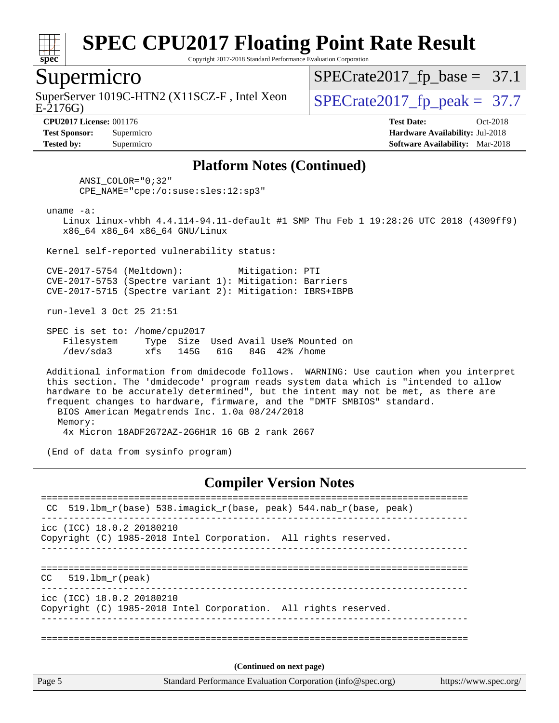

Copyright 2017-2018 Standard Performance Evaluation Corporation

#### Supermicro

SuperServer 1019C-HTN2 (X11SCZ-F, Intel Xeon  $\big|$  [SPECrate2017\\_fp\\_peak =](http://www.spec.org/auto/cpu2017/Docs/result-fields.html#SPECrate2017fppeak) 37.7

 $SPECrate2017_fp\_base = 37.1$ 

E-2176G)

**[Tested by:](http://www.spec.org/auto/cpu2017/Docs/result-fields.html#Testedby)** Supermicro **[Software Availability:](http://www.spec.org/auto/cpu2017/Docs/result-fields.html#SoftwareAvailability)** Mar-2018

**[CPU2017 License:](http://www.spec.org/auto/cpu2017/Docs/result-fields.html#CPU2017License)** 001176 **[Test Date:](http://www.spec.org/auto/cpu2017/Docs/result-fields.html#TestDate)** Oct-2018 **[Test Sponsor:](http://www.spec.org/auto/cpu2017/Docs/result-fields.html#TestSponsor)** Supermicro **[Hardware Availability:](http://www.spec.org/auto/cpu2017/Docs/result-fields.html#HardwareAvailability)** Jul-2018

#### **[Platform Notes \(Continued\)](http://www.spec.org/auto/cpu2017/Docs/result-fields.html#PlatformNotes)**

 ANSI\_COLOR="0;32" CPE\_NAME="cpe:/o:suse:sles:12:sp3"

uname -a:

 Linux linux-vhbh 4.4.114-94.11-default #1 SMP Thu Feb 1 19:28:26 UTC 2018 (4309ff9) x86\_64 x86\_64 x86\_64 GNU/Linux

Kernel self-reported vulnerability status:

 CVE-2017-5754 (Meltdown): Mitigation: PTI CVE-2017-5753 (Spectre variant 1): Mitigation: Barriers CVE-2017-5715 (Spectre variant 2): Mitigation: IBRS+IBPB

run-level 3 Oct 25 21:51

 SPEC is set to: /home/cpu2017 Filesystem Type Size Used Avail Use% Mounted on /dev/sda3 xfs 145G 61G 84G 42% /home

 Additional information from dmidecode follows. WARNING: Use caution when you interpret this section. The 'dmidecode' program reads system data which is "intended to allow hardware to be accurately determined", but the intent may not be met, as there are frequent changes to hardware, firmware, and the "DMTF SMBIOS" standard. BIOS American Megatrends Inc. 1.0a 08/24/2018 Memory:

4x Micron 18ADF2G72AZ-2G6H1R 16 GB 2 rank 2667

(End of data from sysinfo program)

#### **[Compiler Version Notes](http://www.spec.org/auto/cpu2017/Docs/result-fields.html#CompilerVersionNotes)**

| Page 5 | (Continued on next page)<br>Standard Performance Evaluation Corporation (info@spec.org)<br>https://www.spec.org/ |  |  |  |  |
|--------|------------------------------------------------------------------------------------------------------------------|--|--|--|--|
|        |                                                                                                                  |  |  |  |  |
|        | icc (ICC) 18.0.2 20180210<br>Copyright (C) 1985-2018 Intel Corporation. All rights reserved.                     |  |  |  |  |
| CC.    | 519.1bm r(peak)                                                                                                  |  |  |  |  |
|        | icc (ICC) 18.0.2 20180210<br>Copyright (C) 1985-2018 Intel Corporation. All rights reserved.                     |  |  |  |  |
|        | CC 519.1bm_r(base) 538.imagick_r(base, peak) 544.nab_r(base, peak)                                               |  |  |  |  |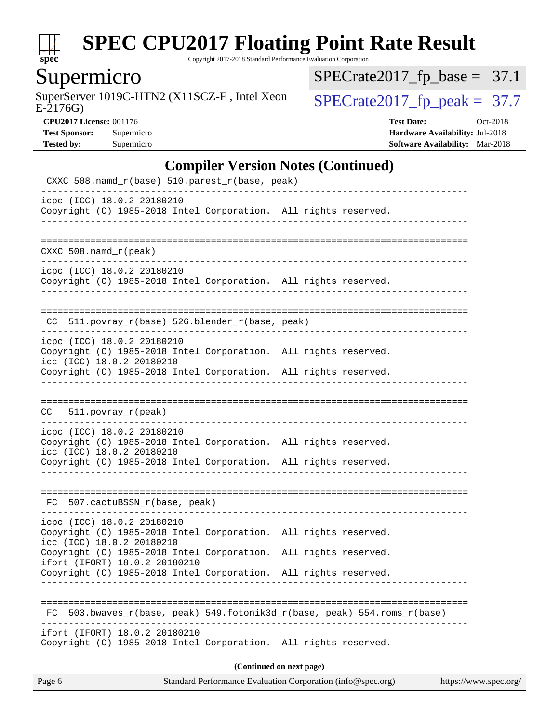

Copyright 2017-2018 Standard Performance Evaluation Corporation

### Supermicro

SuperServer 1019C-HTN2 (X11SCZ-F, Intel Xeon  $SPECrate2017_fp\_peak = 37.7$ 

 $SPECrate2017_fp\_base = 37.1$ 

E-2176G)

**[CPU2017 License:](http://www.spec.org/auto/cpu2017/Docs/result-fields.html#CPU2017License)** 001176 **[Test Date:](http://www.spec.org/auto/cpu2017/Docs/result-fields.html#TestDate)** Oct-2018 **[Test Sponsor:](http://www.spec.org/auto/cpu2017/Docs/result-fields.html#TestSponsor)** Supermicro **[Hardware Availability:](http://www.spec.org/auto/cpu2017/Docs/result-fields.html#HardwareAvailability)** Jul-2018 **[Tested by:](http://www.spec.org/auto/cpu2017/Docs/result-fields.html#Testedby)** Supermicro **[Software Availability:](http://www.spec.org/auto/cpu2017/Docs/result-fields.html#SoftwareAvailability)** Mar-2018

#### **[Compiler Version Notes \(Continued\)](http://www.spec.org/auto/cpu2017/Docs/result-fields.html#CompilerVersionNotes)**

| Page 6                                                                                                                     | Standard Performance Evaluation Corporation (info@spec.org)<br>https://www.spec.org/ |  |  |  |  |  |
|----------------------------------------------------------------------------------------------------------------------------|--------------------------------------------------------------------------------------|--|--|--|--|--|
| (Continued on next page)                                                                                                   |                                                                                      |  |  |  |  |  |
| ifort (IFORT) 18.0.2 20180210<br>Copyright (C) 1985-2018 Intel Corporation. All rights reserved.                           |                                                                                      |  |  |  |  |  |
| 503.bwaves_r(base, peak) 549.fotonik3d_r(base, peak) 554.roms_r(base)<br>FC.                                               |                                                                                      |  |  |  |  |  |
| ifort (IFORT) 18.0.2 20180210<br>Copyright (C) 1985-2018 Intel Corporation.                                                | All rights reserved.                                                                 |  |  |  |  |  |
| icc (ICC) 18.0.2 20180210<br>Copyright (C) 1985-2018 Intel Corporation.                                                    | All rights reserved.                                                                 |  |  |  |  |  |
| icpc (ICC) 18.0.2 20180210<br>Copyright (C) 1985-2018 Intel Corporation. All rights reserved.                              |                                                                                      |  |  |  |  |  |
| FC 507.cactuBSSN_r(base, peak)                                                                                             | -----------------------------------                                                  |  |  |  |  |  |
| icc (ICC) 18.0.2 20180210<br>Copyright (C) 1985-2018 Intel Corporation. All rights reserved.<br>____________               |                                                                                      |  |  |  |  |  |
| icpc (ICC) 18.0.2 20180210<br>Copyright (C) 1985-2018 Intel Corporation. All rights reserved.                              |                                                                                      |  |  |  |  |  |
| $CC = 511. povray_r (peak)$                                                                                                |                                                                                      |  |  |  |  |  |
| Copyright (C) 1985-2018 Intel Corporation. All rights reserved.                                                            |                                                                                      |  |  |  |  |  |
| icpc (ICC) 18.0.2 20180210<br>Copyright (C) 1985-2018 Intel Corporation. All rights reserved.<br>icc (ICC) 18.0.2 20180210 |                                                                                      |  |  |  |  |  |
| CC 511.povray_r(base) 526.blender_r(base, peak)                                                                            |                                                                                      |  |  |  |  |  |
|                                                                                                                            |                                                                                      |  |  |  |  |  |
| icpc (ICC) 18.0.2 20180210<br>Copyright (C) 1985-2018 Intel Corporation. All rights reserved.                              |                                                                                      |  |  |  |  |  |
| $CXXC 508.namd_r (peak)$                                                                                                   |                                                                                      |  |  |  |  |  |
| icpc (ICC) 18.0.2 20180210<br>Copyright (C) 1985-2018 Intel Corporation. All rights reserved.                              |                                                                                      |  |  |  |  |  |
|                                                                                                                            |                                                                                      |  |  |  |  |  |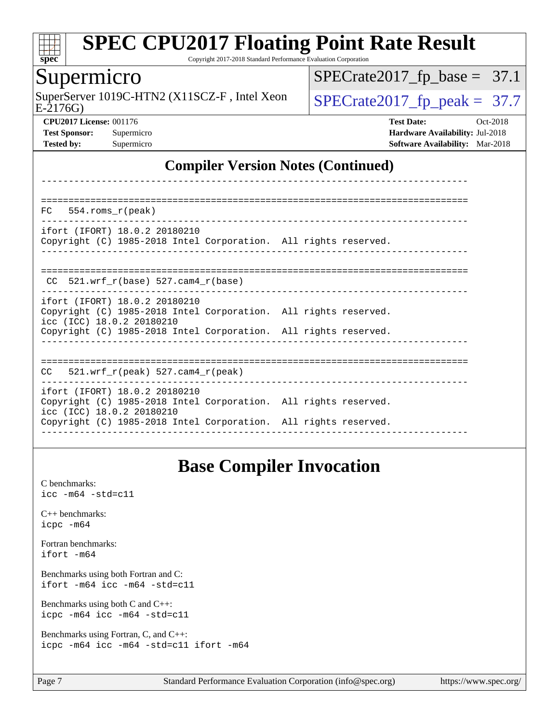

Copyright 2017-2018 Standard Performance Evaluation Corporation

#### Supermicro

SuperServer 1019C-HTN2 (X11SCZ-F, Intel Xeon  $\big|$  [SPECrate2017\\_fp\\_peak =](http://www.spec.org/auto/cpu2017/Docs/result-fields.html#SPECrate2017fppeak) 37.7

 $SPECTate2017_fp\_base = 37.1$ 

E-2176G)

**[CPU2017 License:](http://www.spec.org/auto/cpu2017/Docs/result-fields.html#CPU2017License)** 001176 **[Test Date:](http://www.spec.org/auto/cpu2017/Docs/result-fields.html#TestDate)** Oct-2018 **[Test Sponsor:](http://www.spec.org/auto/cpu2017/Docs/result-fields.html#TestSponsor)** Supermicro **[Hardware Availability:](http://www.spec.org/auto/cpu2017/Docs/result-fields.html#HardwareAvailability)** Jul-2018 **[Tested by:](http://www.spec.org/auto/cpu2017/Docs/result-fields.html#Testedby)** Supermicro **[Software Availability:](http://www.spec.org/auto/cpu2017/Docs/result-fields.html#SoftwareAvailability)** Mar-2018

#### **[Compiler Version Notes \(Continued\)](http://www.spec.org/auto/cpu2017/Docs/result-fields.html#CompilerVersionNotes)**

| $FC$ 554. roms $r$ (peak)                                                                                                                                                                        |  |
|--------------------------------------------------------------------------------------------------------------------------------------------------------------------------------------------------|--|
| ifort (IFORT) 18.0.2 20180210<br>Copyright (C) 1985-2018 Intel Corporation. All rights reserved.                                                                                                 |  |
| $CC$ 521.wrf $r(base)$ 527.cam4 $r(base)$<br>_____________________________________                                                                                                               |  |
| ifort (IFORT) 18.0.2 20180210<br>Copyright (C) 1985-2018 Intel Corporation. All rights reserved.<br>icc (ICC) 18.0.2 20180210<br>Copyright (C) 1985-2018 Intel Corporation. All rights reserved. |  |
| $CC = 521$ .wrf $r(\text{peak})$ 527.cam4 $r(\text{peak})$                                                                                                                                       |  |
| ifort (IFORT) 18.0.2 20180210<br>Copyright (C) 1985-2018 Intel Corporation. All rights reserved.<br>icc (ICC) 18.0.2 20180210<br>Copyright (C) 1985-2018 Intel Corporation. All rights reserved. |  |

#### **[Base Compiler Invocation](http://www.spec.org/auto/cpu2017/Docs/result-fields.html#BaseCompilerInvocation)**

[C benchmarks](http://www.spec.org/auto/cpu2017/Docs/result-fields.html#Cbenchmarks): [icc -m64 -std=c11](http://www.spec.org/cpu2017/results/res2018q4/cpu2017-20181030-09445.flags.html#user_CCbase_intel_icc_64bit_c11_33ee0cdaae7deeeab2a9725423ba97205ce30f63b9926c2519791662299b76a0318f32ddfffdc46587804de3178b4f9328c46fa7c2b0cd779d7a61945c91cd35) [C++ benchmarks:](http://www.spec.org/auto/cpu2017/Docs/result-fields.html#CXXbenchmarks) [icpc -m64](http://www.spec.org/cpu2017/results/res2018q4/cpu2017-20181030-09445.flags.html#user_CXXbase_intel_icpc_64bit_4ecb2543ae3f1412ef961e0650ca070fec7b7afdcd6ed48761b84423119d1bf6bdf5cad15b44d48e7256388bc77273b966e5eb805aefd121eb22e9299b2ec9d9) [Fortran benchmarks](http://www.spec.org/auto/cpu2017/Docs/result-fields.html#Fortranbenchmarks): [ifort -m64](http://www.spec.org/cpu2017/results/res2018q4/cpu2017-20181030-09445.flags.html#user_FCbase_intel_ifort_64bit_24f2bb282fbaeffd6157abe4f878425411749daecae9a33200eee2bee2fe76f3b89351d69a8130dd5949958ce389cf37ff59a95e7a40d588e8d3a57e0c3fd751) [Benchmarks using both Fortran and C](http://www.spec.org/auto/cpu2017/Docs/result-fields.html#BenchmarksusingbothFortranandC): [ifort -m64](http://www.spec.org/cpu2017/results/res2018q4/cpu2017-20181030-09445.flags.html#user_CC_FCbase_intel_ifort_64bit_24f2bb282fbaeffd6157abe4f878425411749daecae9a33200eee2bee2fe76f3b89351d69a8130dd5949958ce389cf37ff59a95e7a40d588e8d3a57e0c3fd751) [icc -m64 -std=c11](http://www.spec.org/cpu2017/results/res2018q4/cpu2017-20181030-09445.flags.html#user_CC_FCbase_intel_icc_64bit_c11_33ee0cdaae7deeeab2a9725423ba97205ce30f63b9926c2519791662299b76a0318f32ddfffdc46587804de3178b4f9328c46fa7c2b0cd779d7a61945c91cd35) [Benchmarks using both C and C++](http://www.spec.org/auto/cpu2017/Docs/result-fields.html#BenchmarksusingbothCandCXX): [icpc -m64](http://www.spec.org/cpu2017/results/res2018q4/cpu2017-20181030-09445.flags.html#user_CC_CXXbase_intel_icpc_64bit_4ecb2543ae3f1412ef961e0650ca070fec7b7afdcd6ed48761b84423119d1bf6bdf5cad15b44d48e7256388bc77273b966e5eb805aefd121eb22e9299b2ec9d9) [icc -m64 -std=c11](http://www.spec.org/cpu2017/results/res2018q4/cpu2017-20181030-09445.flags.html#user_CC_CXXbase_intel_icc_64bit_c11_33ee0cdaae7deeeab2a9725423ba97205ce30f63b9926c2519791662299b76a0318f32ddfffdc46587804de3178b4f9328c46fa7c2b0cd779d7a61945c91cd35) [Benchmarks using Fortran, C, and C++:](http://www.spec.org/auto/cpu2017/Docs/result-fields.html#BenchmarksusingFortranCandCXX) [icpc -m64](http://www.spec.org/cpu2017/results/res2018q4/cpu2017-20181030-09445.flags.html#user_CC_CXX_FCbase_intel_icpc_64bit_4ecb2543ae3f1412ef961e0650ca070fec7b7afdcd6ed48761b84423119d1bf6bdf5cad15b44d48e7256388bc77273b966e5eb805aefd121eb22e9299b2ec9d9) [icc -m64 -std=c11](http://www.spec.org/cpu2017/results/res2018q4/cpu2017-20181030-09445.flags.html#user_CC_CXX_FCbase_intel_icc_64bit_c11_33ee0cdaae7deeeab2a9725423ba97205ce30f63b9926c2519791662299b76a0318f32ddfffdc46587804de3178b4f9328c46fa7c2b0cd779d7a61945c91cd35) [ifort -m64](http://www.spec.org/cpu2017/results/res2018q4/cpu2017-20181030-09445.flags.html#user_CC_CXX_FCbase_intel_ifort_64bit_24f2bb282fbaeffd6157abe4f878425411749daecae9a33200eee2bee2fe76f3b89351d69a8130dd5949958ce389cf37ff59a95e7a40d588e8d3a57e0c3fd751)

Page 7 Standard Performance Evaluation Corporation [\(info@spec.org\)](mailto:info@spec.org) <https://www.spec.org/>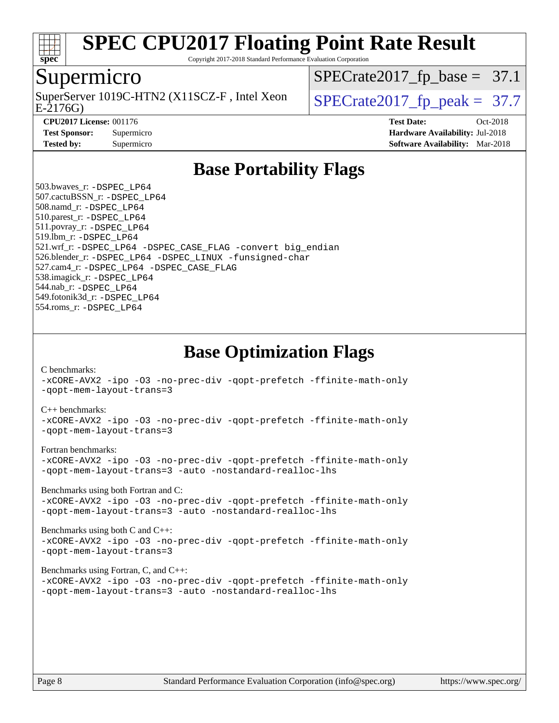

Copyright 2017-2018 Standard Performance Evaluation Corporation

#### Supermicro

E-2176G) SuperServer 1019C-HTN2 (X11SCZ-F, Intel Xeon  $\big|$  SPECrate 2017 fp peak = 37.7

 $SPECTate2017_fp\_base = 37.1$ 

**[CPU2017 License:](http://www.spec.org/auto/cpu2017/Docs/result-fields.html#CPU2017License)** 001176 **[Test Date:](http://www.spec.org/auto/cpu2017/Docs/result-fields.html#TestDate)** Oct-2018

**[Test Sponsor:](http://www.spec.org/auto/cpu2017/Docs/result-fields.html#TestSponsor)** Supermicro **[Hardware Availability:](http://www.spec.org/auto/cpu2017/Docs/result-fields.html#HardwareAvailability)** Jul-2018 **[Tested by:](http://www.spec.org/auto/cpu2017/Docs/result-fields.html#Testedby)** Supermicro **[Software Availability:](http://www.spec.org/auto/cpu2017/Docs/result-fields.html#SoftwareAvailability)** Mar-2018

### **[Base Portability Flags](http://www.spec.org/auto/cpu2017/Docs/result-fields.html#BasePortabilityFlags)**

 503.bwaves\_r: [-DSPEC\\_LP64](http://www.spec.org/cpu2017/results/res2018q4/cpu2017-20181030-09445.flags.html#suite_basePORTABILITY503_bwaves_r_DSPEC_LP64) 507.cactuBSSN\_r: [-DSPEC\\_LP64](http://www.spec.org/cpu2017/results/res2018q4/cpu2017-20181030-09445.flags.html#suite_basePORTABILITY507_cactuBSSN_r_DSPEC_LP64) 508.namd\_r: [-DSPEC\\_LP64](http://www.spec.org/cpu2017/results/res2018q4/cpu2017-20181030-09445.flags.html#suite_basePORTABILITY508_namd_r_DSPEC_LP64) 510.parest\_r: [-DSPEC\\_LP64](http://www.spec.org/cpu2017/results/res2018q4/cpu2017-20181030-09445.flags.html#suite_basePORTABILITY510_parest_r_DSPEC_LP64) 511.povray\_r: [-DSPEC\\_LP64](http://www.spec.org/cpu2017/results/res2018q4/cpu2017-20181030-09445.flags.html#suite_basePORTABILITY511_povray_r_DSPEC_LP64) 519.lbm\_r: [-DSPEC\\_LP64](http://www.spec.org/cpu2017/results/res2018q4/cpu2017-20181030-09445.flags.html#suite_basePORTABILITY519_lbm_r_DSPEC_LP64) 521.wrf\_r: [-DSPEC\\_LP64](http://www.spec.org/cpu2017/results/res2018q4/cpu2017-20181030-09445.flags.html#suite_basePORTABILITY521_wrf_r_DSPEC_LP64) [-DSPEC\\_CASE\\_FLAG](http://www.spec.org/cpu2017/results/res2018q4/cpu2017-20181030-09445.flags.html#b521.wrf_r_baseCPORTABILITY_DSPEC_CASE_FLAG) [-convert big\\_endian](http://www.spec.org/cpu2017/results/res2018q4/cpu2017-20181030-09445.flags.html#user_baseFPORTABILITY521_wrf_r_convert_big_endian_c3194028bc08c63ac5d04de18c48ce6d347e4e562e8892b8bdbdc0214820426deb8554edfa529a3fb25a586e65a3d812c835984020483e7e73212c4d31a38223) 526.blender\_r: [-DSPEC\\_LP64](http://www.spec.org/cpu2017/results/res2018q4/cpu2017-20181030-09445.flags.html#suite_basePORTABILITY526_blender_r_DSPEC_LP64) [-DSPEC\\_LINUX](http://www.spec.org/cpu2017/results/res2018q4/cpu2017-20181030-09445.flags.html#b526.blender_r_baseCPORTABILITY_DSPEC_LINUX) [-funsigned-char](http://www.spec.org/cpu2017/results/res2018q4/cpu2017-20181030-09445.flags.html#user_baseCPORTABILITY526_blender_r_force_uchar_40c60f00ab013830e2dd6774aeded3ff59883ba5a1fc5fc14077f794d777847726e2a5858cbc7672e36e1b067e7e5c1d9a74f7176df07886a243d7cc18edfe67) 527.cam4\_r: [-DSPEC\\_LP64](http://www.spec.org/cpu2017/results/res2018q4/cpu2017-20181030-09445.flags.html#suite_basePORTABILITY527_cam4_r_DSPEC_LP64) [-DSPEC\\_CASE\\_FLAG](http://www.spec.org/cpu2017/results/res2018q4/cpu2017-20181030-09445.flags.html#b527.cam4_r_baseCPORTABILITY_DSPEC_CASE_FLAG) 538.imagick\_r: [-DSPEC\\_LP64](http://www.spec.org/cpu2017/results/res2018q4/cpu2017-20181030-09445.flags.html#suite_basePORTABILITY538_imagick_r_DSPEC_LP64) 544.nab\_r: [-DSPEC\\_LP64](http://www.spec.org/cpu2017/results/res2018q4/cpu2017-20181030-09445.flags.html#suite_basePORTABILITY544_nab_r_DSPEC_LP64) 549.fotonik3d\_r: [-DSPEC\\_LP64](http://www.spec.org/cpu2017/results/res2018q4/cpu2017-20181030-09445.flags.html#suite_basePORTABILITY549_fotonik3d_r_DSPEC_LP64) 554.roms\_r: [-DSPEC\\_LP64](http://www.spec.org/cpu2017/results/res2018q4/cpu2017-20181030-09445.flags.html#suite_basePORTABILITY554_roms_r_DSPEC_LP64)

**[Base Optimization Flags](http://www.spec.org/auto/cpu2017/Docs/result-fields.html#BaseOptimizationFlags)**

[C benchmarks](http://www.spec.org/auto/cpu2017/Docs/result-fields.html#Cbenchmarks):

[-xCORE-AVX2](http://www.spec.org/cpu2017/results/res2018q4/cpu2017-20181030-09445.flags.html#user_CCbase_f-xCORE-AVX2) [-ipo](http://www.spec.org/cpu2017/results/res2018q4/cpu2017-20181030-09445.flags.html#user_CCbase_f-ipo) [-O3](http://www.spec.org/cpu2017/results/res2018q4/cpu2017-20181030-09445.flags.html#user_CCbase_f-O3) [-no-prec-div](http://www.spec.org/cpu2017/results/res2018q4/cpu2017-20181030-09445.flags.html#user_CCbase_f-no-prec-div) [-qopt-prefetch](http://www.spec.org/cpu2017/results/res2018q4/cpu2017-20181030-09445.flags.html#user_CCbase_f-qopt-prefetch) [-ffinite-math-only](http://www.spec.org/cpu2017/results/res2018q4/cpu2017-20181030-09445.flags.html#user_CCbase_f_finite_math_only_cb91587bd2077682c4b38af759c288ed7c732db004271a9512da14a4f8007909a5f1427ecbf1a0fb78ff2a814402c6114ac565ca162485bbcae155b5e4258871) [-qopt-mem-layout-trans=3](http://www.spec.org/cpu2017/results/res2018q4/cpu2017-20181030-09445.flags.html#user_CCbase_f-qopt-mem-layout-trans_de80db37974c74b1f0e20d883f0b675c88c3b01e9d123adea9b28688d64333345fb62bc4a798493513fdb68f60282f9a726aa07f478b2f7113531aecce732043)

#### [C++ benchmarks:](http://www.spec.org/auto/cpu2017/Docs/result-fields.html#CXXbenchmarks)

[-xCORE-AVX2](http://www.spec.org/cpu2017/results/res2018q4/cpu2017-20181030-09445.flags.html#user_CXXbase_f-xCORE-AVX2) [-ipo](http://www.spec.org/cpu2017/results/res2018q4/cpu2017-20181030-09445.flags.html#user_CXXbase_f-ipo) [-O3](http://www.spec.org/cpu2017/results/res2018q4/cpu2017-20181030-09445.flags.html#user_CXXbase_f-O3) [-no-prec-div](http://www.spec.org/cpu2017/results/res2018q4/cpu2017-20181030-09445.flags.html#user_CXXbase_f-no-prec-div) [-qopt-prefetch](http://www.spec.org/cpu2017/results/res2018q4/cpu2017-20181030-09445.flags.html#user_CXXbase_f-qopt-prefetch) [-ffinite-math-only](http://www.spec.org/cpu2017/results/res2018q4/cpu2017-20181030-09445.flags.html#user_CXXbase_f_finite_math_only_cb91587bd2077682c4b38af759c288ed7c732db004271a9512da14a4f8007909a5f1427ecbf1a0fb78ff2a814402c6114ac565ca162485bbcae155b5e4258871) [-qopt-mem-layout-trans=3](http://www.spec.org/cpu2017/results/res2018q4/cpu2017-20181030-09445.flags.html#user_CXXbase_f-qopt-mem-layout-trans_de80db37974c74b1f0e20d883f0b675c88c3b01e9d123adea9b28688d64333345fb62bc4a798493513fdb68f60282f9a726aa07f478b2f7113531aecce732043)

#### [Fortran benchmarks](http://www.spec.org/auto/cpu2017/Docs/result-fields.html#Fortranbenchmarks):

[-xCORE-AVX2](http://www.spec.org/cpu2017/results/res2018q4/cpu2017-20181030-09445.flags.html#user_FCbase_f-xCORE-AVX2) [-ipo](http://www.spec.org/cpu2017/results/res2018q4/cpu2017-20181030-09445.flags.html#user_FCbase_f-ipo) [-O3](http://www.spec.org/cpu2017/results/res2018q4/cpu2017-20181030-09445.flags.html#user_FCbase_f-O3) [-no-prec-div](http://www.spec.org/cpu2017/results/res2018q4/cpu2017-20181030-09445.flags.html#user_FCbase_f-no-prec-div) [-qopt-prefetch](http://www.spec.org/cpu2017/results/res2018q4/cpu2017-20181030-09445.flags.html#user_FCbase_f-qopt-prefetch) [-ffinite-math-only](http://www.spec.org/cpu2017/results/res2018q4/cpu2017-20181030-09445.flags.html#user_FCbase_f_finite_math_only_cb91587bd2077682c4b38af759c288ed7c732db004271a9512da14a4f8007909a5f1427ecbf1a0fb78ff2a814402c6114ac565ca162485bbcae155b5e4258871) [-qopt-mem-layout-trans=3](http://www.spec.org/cpu2017/results/res2018q4/cpu2017-20181030-09445.flags.html#user_FCbase_f-qopt-mem-layout-trans_de80db37974c74b1f0e20d883f0b675c88c3b01e9d123adea9b28688d64333345fb62bc4a798493513fdb68f60282f9a726aa07f478b2f7113531aecce732043) [-auto](http://www.spec.org/cpu2017/results/res2018q4/cpu2017-20181030-09445.flags.html#user_FCbase_f-auto) [-nostandard-realloc-lhs](http://www.spec.org/cpu2017/results/res2018q4/cpu2017-20181030-09445.flags.html#user_FCbase_f_2003_std_realloc_82b4557e90729c0f113870c07e44d33d6f5a304b4f63d4c15d2d0f1fab99f5daaed73bdb9275d9ae411527f28b936061aa8b9c8f2d63842963b95c9dd6426b8a)

[Benchmarks using both Fortran and C](http://www.spec.org/auto/cpu2017/Docs/result-fields.html#BenchmarksusingbothFortranandC):

[-xCORE-AVX2](http://www.spec.org/cpu2017/results/res2018q4/cpu2017-20181030-09445.flags.html#user_CC_FCbase_f-xCORE-AVX2) [-ipo](http://www.spec.org/cpu2017/results/res2018q4/cpu2017-20181030-09445.flags.html#user_CC_FCbase_f-ipo) [-O3](http://www.spec.org/cpu2017/results/res2018q4/cpu2017-20181030-09445.flags.html#user_CC_FCbase_f-O3) [-no-prec-div](http://www.spec.org/cpu2017/results/res2018q4/cpu2017-20181030-09445.flags.html#user_CC_FCbase_f-no-prec-div) [-qopt-prefetch](http://www.spec.org/cpu2017/results/res2018q4/cpu2017-20181030-09445.flags.html#user_CC_FCbase_f-qopt-prefetch) [-ffinite-math-only](http://www.spec.org/cpu2017/results/res2018q4/cpu2017-20181030-09445.flags.html#user_CC_FCbase_f_finite_math_only_cb91587bd2077682c4b38af759c288ed7c732db004271a9512da14a4f8007909a5f1427ecbf1a0fb78ff2a814402c6114ac565ca162485bbcae155b5e4258871) [-qopt-mem-layout-trans=3](http://www.spec.org/cpu2017/results/res2018q4/cpu2017-20181030-09445.flags.html#user_CC_FCbase_f-qopt-mem-layout-trans_de80db37974c74b1f0e20d883f0b675c88c3b01e9d123adea9b28688d64333345fb62bc4a798493513fdb68f60282f9a726aa07f478b2f7113531aecce732043) [-auto](http://www.spec.org/cpu2017/results/res2018q4/cpu2017-20181030-09445.flags.html#user_CC_FCbase_f-auto) [-nostandard-realloc-lhs](http://www.spec.org/cpu2017/results/res2018q4/cpu2017-20181030-09445.flags.html#user_CC_FCbase_f_2003_std_realloc_82b4557e90729c0f113870c07e44d33d6f5a304b4f63d4c15d2d0f1fab99f5daaed73bdb9275d9ae411527f28b936061aa8b9c8f2d63842963b95c9dd6426b8a)

[Benchmarks using both C and C++](http://www.spec.org/auto/cpu2017/Docs/result-fields.html#BenchmarksusingbothCandCXX): [-xCORE-AVX2](http://www.spec.org/cpu2017/results/res2018q4/cpu2017-20181030-09445.flags.html#user_CC_CXXbase_f-xCORE-AVX2) [-ipo](http://www.spec.org/cpu2017/results/res2018q4/cpu2017-20181030-09445.flags.html#user_CC_CXXbase_f-ipo) [-O3](http://www.spec.org/cpu2017/results/res2018q4/cpu2017-20181030-09445.flags.html#user_CC_CXXbase_f-O3) [-no-prec-div](http://www.spec.org/cpu2017/results/res2018q4/cpu2017-20181030-09445.flags.html#user_CC_CXXbase_f-no-prec-div) [-qopt-prefetch](http://www.spec.org/cpu2017/results/res2018q4/cpu2017-20181030-09445.flags.html#user_CC_CXXbase_f-qopt-prefetch) [-ffinite-math-only](http://www.spec.org/cpu2017/results/res2018q4/cpu2017-20181030-09445.flags.html#user_CC_CXXbase_f_finite_math_only_cb91587bd2077682c4b38af759c288ed7c732db004271a9512da14a4f8007909a5f1427ecbf1a0fb78ff2a814402c6114ac565ca162485bbcae155b5e4258871) [-qopt-mem-layout-trans=3](http://www.spec.org/cpu2017/results/res2018q4/cpu2017-20181030-09445.flags.html#user_CC_CXXbase_f-qopt-mem-layout-trans_de80db37974c74b1f0e20d883f0b675c88c3b01e9d123adea9b28688d64333345fb62bc4a798493513fdb68f60282f9a726aa07f478b2f7113531aecce732043)

#### [Benchmarks using Fortran, C, and C++:](http://www.spec.org/auto/cpu2017/Docs/result-fields.html#BenchmarksusingFortranCandCXX)

[-xCORE-AVX2](http://www.spec.org/cpu2017/results/res2018q4/cpu2017-20181030-09445.flags.html#user_CC_CXX_FCbase_f-xCORE-AVX2) [-ipo](http://www.spec.org/cpu2017/results/res2018q4/cpu2017-20181030-09445.flags.html#user_CC_CXX_FCbase_f-ipo) [-O3](http://www.spec.org/cpu2017/results/res2018q4/cpu2017-20181030-09445.flags.html#user_CC_CXX_FCbase_f-O3) [-no-prec-div](http://www.spec.org/cpu2017/results/res2018q4/cpu2017-20181030-09445.flags.html#user_CC_CXX_FCbase_f-no-prec-div) [-qopt-prefetch](http://www.spec.org/cpu2017/results/res2018q4/cpu2017-20181030-09445.flags.html#user_CC_CXX_FCbase_f-qopt-prefetch) [-ffinite-math-only](http://www.spec.org/cpu2017/results/res2018q4/cpu2017-20181030-09445.flags.html#user_CC_CXX_FCbase_f_finite_math_only_cb91587bd2077682c4b38af759c288ed7c732db004271a9512da14a4f8007909a5f1427ecbf1a0fb78ff2a814402c6114ac565ca162485bbcae155b5e4258871) [-qopt-mem-layout-trans=3](http://www.spec.org/cpu2017/results/res2018q4/cpu2017-20181030-09445.flags.html#user_CC_CXX_FCbase_f-qopt-mem-layout-trans_de80db37974c74b1f0e20d883f0b675c88c3b01e9d123adea9b28688d64333345fb62bc4a798493513fdb68f60282f9a726aa07f478b2f7113531aecce732043) [-auto](http://www.spec.org/cpu2017/results/res2018q4/cpu2017-20181030-09445.flags.html#user_CC_CXX_FCbase_f-auto) [-nostandard-realloc-lhs](http://www.spec.org/cpu2017/results/res2018q4/cpu2017-20181030-09445.flags.html#user_CC_CXX_FCbase_f_2003_std_realloc_82b4557e90729c0f113870c07e44d33d6f5a304b4f63d4c15d2d0f1fab99f5daaed73bdb9275d9ae411527f28b936061aa8b9c8f2d63842963b95c9dd6426b8a)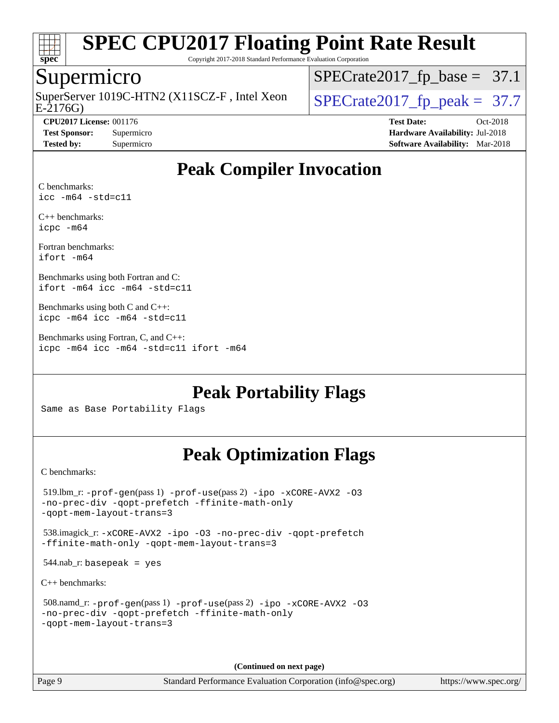

Copyright 2017-2018 Standard Performance Evaluation Corporation

#### Supermicro

E-2176G) SuperServer 1019C-HTN2 (X11SCZ-F, Intel Xeon  $\big|$  [SPECrate2017\\_fp\\_peak =](http://www.spec.org/auto/cpu2017/Docs/result-fields.html#SPECrate2017fppeak) 37.7

 $SPECrate2017_fp\_base = 37.1$ 

**[CPU2017 License:](http://www.spec.org/auto/cpu2017/Docs/result-fields.html#CPU2017License)** 001176 **[Test Date:](http://www.spec.org/auto/cpu2017/Docs/result-fields.html#TestDate)** Oct-2018 **[Test Sponsor:](http://www.spec.org/auto/cpu2017/Docs/result-fields.html#TestSponsor)** Supermicro **[Hardware Availability:](http://www.spec.org/auto/cpu2017/Docs/result-fields.html#HardwareAvailability)** Jul-2018 **[Tested by:](http://www.spec.org/auto/cpu2017/Docs/result-fields.html#Testedby)** Supermicro **[Software Availability:](http://www.spec.org/auto/cpu2017/Docs/result-fields.html#SoftwareAvailability)** Mar-2018

### **[Peak Compiler Invocation](http://www.spec.org/auto/cpu2017/Docs/result-fields.html#PeakCompilerInvocation)**

[C benchmarks:](http://www.spec.org/auto/cpu2017/Docs/result-fields.html#Cbenchmarks) [icc -m64 -std=c11](http://www.spec.org/cpu2017/results/res2018q4/cpu2017-20181030-09445.flags.html#user_CCpeak_intel_icc_64bit_c11_33ee0cdaae7deeeab2a9725423ba97205ce30f63b9926c2519791662299b76a0318f32ddfffdc46587804de3178b4f9328c46fa7c2b0cd779d7a61945c91cd35)

[C++ benchmarks:](http://www.spec.org/auto/cpu2017/Docs/result-fields.html#CXXbenchmarks) [icpc -m64](http://www.spec.org/cpu2017/results/res2018q4/cpu2017-20181030-09445.flags.html#user_CXXpeak_intel_icpc_64bit_4ecb2543ae3f1412ef961e0650ca070fec7b7afdcd6ed48761b84423119d1bf6bdf5cad15b44d48e7256388bc77273b966e5eb805aefd121eb22e9299b2ec9d9)

[Fortran benchmarks](http://www.spec.org/auto/cpu2017/Docs/result-fields.html#Fortranbenchmarks): [ifort -m64](http://www.spec.org/cpu2017/results/res2018q4/cpu2017-20181030-09445.flags.html#user_FCpeak_intel_ifort_64bit_24f2bb282fbaeffd6157abe4f878425411749daecae9a33200eee2bee2fe76f3b89351d69a8130dd5949958ce389cf37ff59a95e7a40d588e8d3a57e0c3fd751)

[Benchmarks using both Fortran and C:](http://www.spec.org/auto/cpu2017/Docs/result-fields.html#BenchmarksusingbothFortranandC) [ifort -m64](http://www.spec.org/cpu2017/results/res2018q4/cpu2017-20181030-09445.flags.html#user_CC_FCpeak_intel_ifort_64bit_24f2bb282fbaeffd6157abe4f878425411749daecae9a33200eee2bee2fe76f3b89351d69a8130dd5949958ce389cf37ff59a95e7a40d588e8d3a57e0c3fd751) [icc -m64 -std=c11](http://www.spec.org/cpu2017/results/res2018q4/cpu2017-20181030-09445.flags.html#user_CC_FCpeak_intel_icc_64bit_c11_33ee0cdaae7deeeab2a9725423ba97205ce30f63b9926c2519791662299b76a0318f32ddfffdc46587804de3178b4f9328c46fa7c2b0cd779d7a61945c91cd35)

[Benchmarks using both C and C++](http://www.spec.org/auto/cpu2017/Docs/result-fields.html#BenchmarksusingbothCandCXX): [icpc -m64](http://www.spec.org/cpu2017/results/res2018q4/cpu2017-20181030-09445.flags.html#user_CC_CXXpeak_intel_icpc_64bit_4ecb2543ae3f1412ef961e0650ca070fec7b7afdcd6ed48761b84423119d1bf6bdf5cad15b44d48e7256388bc77273b966e5eb805aefd121eb22e9299b2ec9d9) [icc -m64 -std=c11](http://www.spec.org/cpu2017/results/res2018q4/cpu2017-20181030-09445.flags.html#user_CC_CXXpeak_intel_icc_64bit_c11_33ee0cdaae7deeeab2a9725423ba97205ce30f63b9926c2519791662299b76a0318f32ddfffdc46587804de3178b4f9328c46fa7c2b0cd779d7a61945c91cd35)

[Benchmarks using Fortran, C, and C++:](http://www.spec.org/auto/cpu2017/Docs/result-fields.html#BenchmarksusingFortranCandCXX) [icpc -m64](http://www.spec.org/cpu2017/results/res2018q4/cpu2017-20181030-09445.flags.html#user_CC_CXX_FCpeak_intel_icpc_64bit_4ecb2543ae3f1412ef961e0650ca070fec7b7afdcd6ed48761b84423119d1bf6bdf5cad15b44d48e7256388bc77273b966e5eb805aefd121eb22e9299b2ec9d9) [icc -m64 -std=c11](http://www.spec.org/cpu2017/results/res2018q4/cpu2017-20181030-09445.flags.html#user_CC_CXX_FCpeak_intel_icc_64bit_c11_33ee0cdaae7deeeab2a9725423ba97205ce30f63b9926c2519791662299b76a0318f32ddfffdc46587804de3178b4f9328c46fa7c2b0cd779d7a61945c91cd35) [ifort -m64](http://www.spec.org/cpu2017/results/res2018q4/cpu2017-20181030-09445.flags.html#user_CC_CXX_FCpeak_intel_ifort_64bit_24f2bb282fbaeffd6157abe4f878425411749daecae9a33200eee2bee2fe76f3b89351d69a8130dd5949958ce389cf37ff59a95e7a40d588e8d3a57e0c3fd751)

**[Peak Portability Flags](http://www.spec.org/auto/cpu2017/Docs/result-fields.html#PeakPortabilityFlags)**

Same as Base Portability Flags

### **[Peak Optimization Flags](http://www.spec.org/auto/cpu2017/Docs/result-fields.html#PeakOptimizationFlags)**

[C benchmarks](http://www.spec.org/auto/cpu2017/Docs/result-fields.html#Cbenchmarks):

```
 519.lbm_r: -prof-gen(pass 1) -prof-use(pass 2) -ipo -xCORE-AVX2 -O3
-no-prec-div -qopt-prefetch -ffinite-math-only
-qopt-mem-layout-trans=3
 538.imagick_r: -xCORE-AVX2 -ipo -O3 -no-prec-div -qopt-prefetch
-ffinite-math-only -qopt-mem-layout-trans=3
544.nab_r: basepeak = yes
C++ benchmarks: 
 508.namd_r: -prof-gen(pass 1) -prof-use(pass 2) -ipo -xCORE-AVX2 -O3
-no-prec-div -qopt-prefetch -ffinite-math-only
-qopt-mem-layout-trans=3
```
**(Continued on next page)**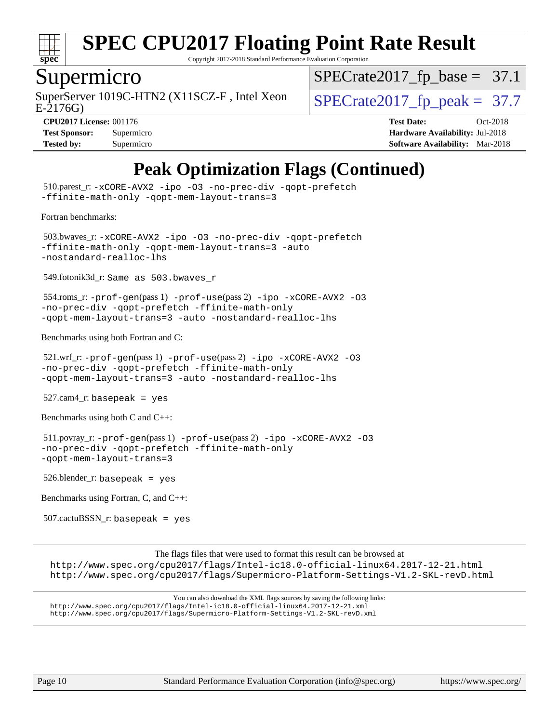

Copyright 2017-2018 Standard Performance Evaluation Corporation

#### Supermicro

SuperServer 1019C-HTN2 (X11SCZ-F, Intel Xeon  $\big|$  SPECrate2017 fp peak = 37.7

 $SPECTate2017_fp\_base = 37.1$ 

E-2176G)

**[Tested by:](http://www.spec.org/auto/cpu2017/Docs/result-fields.html#Testedby)** Supermicro **[Software Availability:](http://www.spec.org/auto/cpu2017/Docs/result-fields.html#SoftwareAvailability)** Mar-2018

**[CPU2017 License:](http://www.spec.org/auto/cpu2017/Docs/result-fields.html#CPU2017License)** 001176 **[Test Date:](http://www.spec.org/auto/cpu2017/Docs/result-fields.html#TestDate)** Oct-2018 **[Test Sponsor:](http://www.spec.org/auto/cpu2017/Docs/result-fields.html#TestSponsor)** Supermicro **[Hardware Availability:](http://www.spec.org/auto/cpu2017/Docs/result-fields.html#HardwareAvailability)** Jul-2018

### **[Peak Optimization Flags \(Continued\)](http://www.spec.org/auto/cpu2017/Docs/result-fields.html#PeakOptimizationFlags)**

 510.parest\_r: [-xCORE-AVX2](http://www.spec.org/cpu2017/results/res2018q4/cpu2017-20181030-09445.flags.html#user_peakCXXOPTIMIZE510_parest_r_f-xCORE-AVX2) [-ipo](http://www.spec.org/cpu2017/results/res2018q4/cpu2017-20181030-09445.flags.html#user_peakCXXOPTIMIZE510_parest_r_f-ipo) [-O3](http://www.spec.org/cpu2017/results/res2018q4/cpu2017-20181030-09445.flags.html#user_peakCXXOPTIMIZE510_parest_r_f-O3) [-no-prec-div](http://www.spec.org/cpu2017/results/res2018q4/cpu2017-20181030-09445.flags.html#user_peakCXXOPTIMIZE510_parest_r_f-no-prec-div) [-qopt-prefetch](http://www.spec.org/cpu2017/results/res2018q4/cpu2017-20181030-09445.flags.html#user_peakCXXOPTIMIZE510_parest_r_f-qopt-prefetch) [-ffinite-math-only](http://www.spec.org/cpu2017/results/res2018q4/cpu2017-20181030-09445.flags.html#user_peakCXXOPTIMIZE510_parest_r_f_finite_math_only_cb91587bd2077682c4b38af759c288ed7c732db004271a9512da14a4f8007909a5f1427ecbf1a0fb78ff2a814402c6114ac565ca162485bbcae155b5e4258871) [-qopt-mem-layout-trans=3](http://www.spec.org/cpu2017/results/res2018q4/cpu2017-20181030-09445.flags.html#user_peakCXXOPTIMIZE510_parest_r_f-qopt-mem-layout-trans_de80db37974c74b1f0e20d883f0b675c88c3b01e9d123adea9b28688d64333345fb62bc4a798493513fdb68f60282f9a726aa07f478b2f7113531aecce732043) [Fortran benchmarks](http://www.spec.org/auto/cpu2017/Docs/result-fields.html#Fortranbenchmarks): 503.bwaves\_r: [-xCORE-AVX2](http://www.spec.org/cpu2017/results/res2018q4/cpu2017-20181030-09445.flags.html#user_peakFOPTIMIZE503_bwaves_r_f-xCORE-AVX2) [-ipo](http://www.spec.org/cpu2017/results/res2018q4/cpu2017-20181030-09445.flags.html#user_peakFOPTIMIZE503_bwaves_r_f-ipo) [-O3](http://www.spec.org/cpu2017/results/res2018q4/cpu2017-20181030-09445.flags.html#user_peakFOPTIMIZE503_bwaves_r_f-O3) [-no-prec-div](http://www.spec.org/cpu2017/results/res2018q4/cpu2017-20181030-09445.flags.html#user_peakFOPTIMIZE503_bwaves_r_f-no-prec-div) [-qopt-prefetch](http://www.spec.org/cpu2017/results/res2018q4/cpu2017-20181030-09445.flags.html#user_peakFOPTIMIZE503_bwaves_r_f-qopt-prefetch) [-ffinite-math-only](http://www.spec.org/cpu2017/results/res2018q4/cpu2017-20181030-09445.flags.html#user_peakFOPTIMIZE503_bwaves_r_f_finite_math_only_cb91587bd2077682c4b38af759c288ed7c732db004271a9512da14a4f8007909a5f1427ecbf1a0fb78ff2a814402c6114ac565ca162485bbcae155b5e4258871) [-qopt-mem-layout-trans=3](http://www.spec.org/cpu2017/results/res2018q4/cpu2017-20181030-09445.flags.html#user_peakFOPTIMIZE503_bwaves_r_f-qopt-mem-layout-trans_de80db37974c74b1f0e20d883f0b675c88c3b01e9d123adea9b28688d64333345fb62bc4a798493513fdb68f60282f9a726aa07f478b2f7113531aecce732043) [-auto](http://www.spec.org/cpu2017/results/res2018q4/cpu2017-20181030-09445.flags.html#user_peakFOPTIMIZE503_bwaves_r_f-auto) [-nostandard-realloc-lhs](http://www.spec.org/cpu2017/results/res2018q4/cpu2017-20181030-09445.flags.html#user_peakEXTRA_FOPTIMIZE503_bwaves_r_f_2003_std_realloc_82b4557e90729c0f113870c07e44d33d6f5a304b4f63d4c15d2d0f1fab99f5daaed73bdb9275d9ae411527f28b936061aa8b9c8f2d63842963b95c9dd6426b8a) 549.fotonik3d\_r: Same as 503.bwaves\_r 554.roms\_r: [-prof-gen](http://www.spec.org/cpu2017/results/res2018q4/cpu2017-20181030-09445.flags.html#user_peakPASS1_FFLAGSPASS1_LDFLAGS554_roms_r_prof_gen_5aa4926d6013ddb2a31985c654b3eb18169fc0c6952a63635c234f711e6e63dd76e94ad52365559451ec499a2cdb89e4dc58ba4c67ef54ca681ffbe1461d6b36)(pass 1) [-prof-use](http://www.spec.org/cpu2017/results/res2018q4/cpu2017-20181030-09445.flags.html#user_peakPASS2_FFLAGSPASS2_LDFLAGS554_roms_r_prof_use_1a21ceae95f36a2b53c25747139a6c16ca95bd9def2a207b4f0849963b97e94f5260e30a0c64f4bb623698870e679ca08317ef8150905d41bd88c6f78df73f19)(pass 2) [-ipo](http://www.spec.org/cpu2017/results/res2018q4/cpu2017-20181030-09445.flags.html#user_peakPASS1_FOPTIMIZEPASS2_FOPTIMIZE554_roms_r_f-ipo) [-xCORE-AVX2](http://www.spec.org/cpu2017/results/res2018q4/cpu2017-20181030-09445.flags.html#user_peakPASS2_FOPTIMIZE554_roms_r_f-xCORE-AVX2) [-O3](http://www.spec.org/cpu2017/results/res2018q4/cpu2017-20181030-09445.flags.html#user_peakPASS1_FOPTIMIZEPASS2_FOPTIMIZE554_roms_r_f-O3) [-no-prec-div](http://www.spec.org/cpu2017/results/res2018q4/cpu2017-20181030-09445.flags.html#user_peakPASS1_FOPTIMIZEPASS2_FOPTIMIZE554_roms_r_f-no-prec-div) [-qopt-prefetch](http://www.spec.org/cpu2017/results/res2018q4/cpu2017-20181030-09445.flags.html#user_peakPASS1_FOPTIMIZEPASS2_FOPTIMIZE554_roms_r_f-qopt-prefetch) [-ffinite-math-only](http://www.spec.org/cpu2017/results/res2018q4/cpu2017-20181030-09445.flags.html#user_peakPASS1_FOPTIMIZEPASS2_FOPTIMIZE554_roms_r_f_finite_math_only_cb91587bd2077682c4b38af759c288ed7c732db004271a9512da14a4f8007909a5f1427ecbf1a0fb78ff2a814402c6114ac565ca162485bbcae155b5e4258871) [-qopt-mem-layout-trans=3](http://www.spec.org/cpu2017/results/res2018q4/cpu2017-20181030-09445.flags.html#user_peakPASS1_FOPTIMIZEPASS2_FOPTIMIZE554_roms_r_f-qopt-mem-layout-trans_de80db37974c74b1f0e20d883f0b675c88c3b01e9d123adea9b28688d64333345fb62bc4a798493513fdb68f60282f9a726aa07f478b2f7113531aecce732043) [-auto](http://www.spec.org/cpu2017/results/res2018q4/cpu2017-20181030-09445.flags.html#user_peakPASS2_FOPTIMIZE554_roms_r_f-auto) [-nostandard-realloc-lhs](http://www.spec.org/cpu2017/results/res2018q4/cpu2017-20181030-09445.flags.html#user_peakEXTRA_FOPTIMIZE554_roms_r_f_2003_std_realloc_82b4557e90729c0f113870c07e44d33d6f5a304b4f63d4c15d2d0f1fab99f5daaed73bdb9275d9ae411527f28b936061aa8b9c8f2d63842963b95c9dd6426b8a) [Benchmarks using both Fortran and C](http://www.spec.org/auto/cpu2017/Docs/result-fields.html#BenchmarksusingbothFortranandC):  $521.\text{wrf}$ :  $-\text{prof-qen(pass 1)} -\text{prof-use(pass 2)} -\text{ipo } -\text{xCORE-AVX2} -03$ [-no-prec-div](http://www.spec.org/cpu2017/results/res2018q4/cpu2017-20181030-09445.flags.html#user_peakPASS1_COPTIMIZEPASS1_FOPTIMIZEPASS2_COPTIMIZEPASS2_FOPTIMIZE521_wrf_r_f-no-prec-div) [-qopt-prefetch](http://www.spec.org/cpu2017/results/res2018q4/cpu2017-20181030-09445.flags.html#user_peakPASS1_COPTIMIZEPASS1_FOPTIMIZEPASS2_COPTIMIZEPASS2_FOPTIMIZE521_wrf_r_f-qopt-prefetch) [-ffinite-math-only](http://www.spec.org/cpu2017/results/res2018q4/cpu2017-20181030-09445.flags.html#user_peakPASS1_COPTIMIZEPASS1_FOPTIMIZEPASS2_COPTIMIZEPASS2_FOPTIMIZE521_wrf_r_f_finite_math_only_cb91587bd2077682c4b38af759c288ed7c732db004271a9512da14a4f8007909a5f1427ecbf1a0fb78ff2a814402c6114ac565ca162485bbcae155b5e4258871) [-qopt-mem-layout-trans=3](http://www.spec.org/cpu2017/results/res2018q4/cpu2017-20181030-09445.flags.html#user_peakPASS1_COPTIMIZEPASS1_FOPTIMIZEPASS2_COPTIMIZEPASS2_FOPTIMIZE521_wrf_r_f-qopt-mem-layout-trans_de80db37974c74b1f0e20d883f0b675c88c3b01e9d123adea9b28688d64333345fb62bc4a798493513fdb68f60282f9a726aa07f478b2f7113531aecce732043) [-auto](http://www.spec.org/cpu2017/results/res2018q4/cpu2017-20181030-09445.flags.html#user_peakPASS2_FOPTIMIZE521_wrf_r_f-auto) [-nostandard-realloc-lhs](http://www.spec.org/cpu2017/results/res2018q4/cpu2017-20181030-09445.flags.html#user_peakEXTRA_FOPTIMIZE521_wrf_r_f_2003_std_realloc_82b4557e90729c0f113870c07e44d33d6f5a304b4f63d4c15d2d0f1fab99f5daaed73bdb9275d9ae411527f28b936061aa8b9c8f2d63842963b95c9dd6426b8a)  $527.cam4_r$ : basepeak = yes [Benchmarks using both C and C++](http://www.spec.org/auto/cpu2017/Docs/result-fields.html#BenchmarksusingbothCandCXX): 511.povray\_r: [-prof-gen](http://www.spec.org/cpu2017/results/res2018q4/cpu2017-20181030-09445.flags.html#user_peakPASS1_CFLAGSPASS1_CXXFLAGSPASS1_LDFLAGS511_povray_r_prof_gen_5aa4926d6013ddb2a31985c654b3eb18169fc0c6952a63635c234f711e6e63dd76e94ad52365559451ec499a2cdb89e4dc58ba4c67ef54ca681ffbe1461d6b36)(pass 1) [-prof-use](http://www.spec.org/cpu2017/results/res2018q4/cpu2017-20181030-09445.flags.html#user_peakPASS2_CFLAGSPASS2_CXXFLAGSPASS2_LDFLAGS511_povray_r_prof_use_1a21ceae95f36a2b53c25747139a6c16ca95bd9def2a207b4f0849963b97e94f5260e30a0c64f4bb623698870e679ca08317ef8150905d41bd88c6f78df73f19)(pass 2) [-ipo](http://www.spec.org/cpu2017/results/res2018q4/cpu2017-20181030-09445.flags.html#user_peakPASS1_COPTIMIZEPASS1_CXXOPTIMIZEPASS2_COPTIMIZEPASS2_CXXOPTIMIZE511_povray_r_f-ipo) [-xCORE-AVX2](http://www.spec.org/cpu2017/results/res2018q4/cpu2017-20181030-09445.flags.html#user_peakPASS2_COPTIMIZEPASS2_CXXOPTIMIZE511_povray_r_f-xCORE-AVX2) [-O3](http://www.spec.org/cpu2017/results/res2018q4/cpu2017-20181030-09445.flags.html#user_peakPASS1_COPTIMIZEPASS1_CXXOPTIMIZEPASS2_COPTIMIZEPASS2_CXXOPTIMIZE511_povray_r_f-O3) [-no-prec-div](http://www.spec.org/cpu2017/results/res2018q4/cpu2017-20181030-09445.flags.html#user_peakPASS1_COPTIMIZEPASS1_CXXOPTIMIZEPASS2_COPTIMIZEPASS2_CXXOPTIMIZE511_povray_r_f-no-prec-div) [-qopt-prefetch](http://www.spec.org/cpu2017/results/res2018q4/cpu2017-20181030-09445.flags.html#user_peakPASS1_COPTIMIZEPASS1_CXXOPTIMIZEPASS2_COPTIMIZEPASS2_CXXOPTIMIZE511_povray_r_f-qopt-prefetch) [-ffinite-math-only](http://www.spec.org/cpu2017/results/res2018q4/cpu2017-20181030-09445.flags.html#user_peakPASS1_COPTIMIZEPASS1_CXXOPTIMIZEPASS2_COPTIMIZEPASS2_CXXOPTIMIZE511_povray_r_f_finite_math_only_cb91587bd2077682c4b38af759c288ed7c732db004271a9512da14a4f8007909a5f1427ecbf1a0fb78ff2a814402c6114ac565ca162485bbcae155b5e4258871) [-qopt-mem-layout-trans=3](http://www.spec.org/cpu2017/results/res2018q4/cpu2017-20181030-09445.flags.html#user_peakPASS1_COPTIMIZEPASS1_CXXOPTIMIZEPASS2_COPTIMIZEPASS2_CXXOPTIMIZE511_povray_r_f-qopt-mem-layout-trans_de80db37974c74b1f0e20d883f0b675c88c3b01e9d123adea9b28688d64333345fb62bc4a798493513fdb68f60282f9a726aa07f478b2f7113531aecce732043) 526.blender\_r: basepeak = yes [Benchmarks using Fortran, C, and C++:](http://www.spec.org/auto/cpu2017/Docs/result-fields.html#BenchmarksusingFortranCandCXX) 507.cactuBSSN\_r: basepeak = yes The flags files that were used to format this result can be browsed at <http://www.spec.org/cpu2017/flags/Intel-ic18.0-official-linux64.2017-12-21.html> <http://www.spec.org/cpu2017/flags/Supermicro-Platform-Settings-V1.2-SKL-revD.html>

You can also download the XML flags sources by saving the following links: <http://www.spec.org/cpu2017/flags/Intel-ic18.0-official-linux64.2017-12-21.xml> <http://www.spec.org/cpu2017/flags/Supermicro-Platform-Settings-V1.2-SKL-revD.xml>